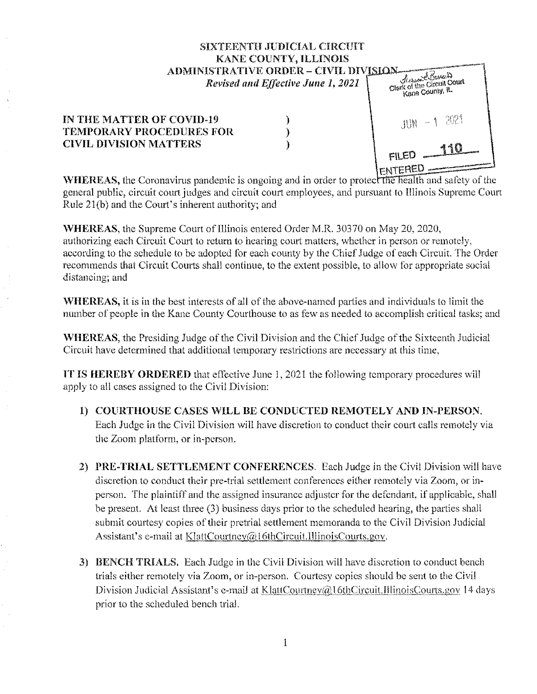## SIXTEENTH JUDICIAL CIRCUIT **KANE COUNTY, ILLINOIS** ADMINISTRATIVE ORDER - CIVIL DIVISION Acres & Berneir Clerk of the Circuit Court Revised and Effective June 1, 2021 Kane County, IL  $\mathcal{E}$

## IN THE MATTER OF COVID-19 **TEMPORARY PROCEDURES FOR CIVIL DIVISION MATTERS**

ነ ╽

FILED ENTERED

**WHEREAS**, the Coronavirus pandemic is ongoing and in order to protect the health and safety of the general public, circuit court judges and circuit court employees, and pursuant to Illinois Supreme Court Rule 21(b) and the Court's inherent authority; and

**WHEREAS**, the Supreme Court of Illinois entered Order M.R. 30370 on May 20, 2020, authorizing each Circuit Court to return to hearing court matters, whether in person or remotely, according to the schedule to be adopted for each county by the Chief Judge of each Circuit. The Order recommends that Circuit Courts shall continue, to the extent possible, to allow for appropriate social distancing; and

**WHEREAS, it is in the best interests of all of the above-named parties and individuals to limit the** number of people in the Kane County Courthouse to as few as needed to accomplish critical tasks; and

WHEREAS, the Presiding Judge of the Civil Division and the Chief Judge of the Sixteenth Judicial Circuit have determined that additional temporary restrictions are necessary at this time,

**IT IS HEREBY ORDERED** that effective June 1, 2021 the following temporary procedures will apply to all cases assigned to the Civil Division:

- 1) COURTHOUSE CASES WILL BE CONDUCTED REMOTELY AND IN-PERSON. Each Judge in the Civil Division will have discretion to conduct their court calls remotely via the Zoom platform, or in-person.
- 2) PRE-TRIAL SETTLEMENT CONFERENCES. Each Judge in the Civil Division will have discretion to conduct their pre-trial settlement conferences either remotely via Zoom, or inperson. The plaintiff and the assigned insurance adjuster for the defendant, if applicable, shall be present. At least three (3) business days prior to the scheduled hearing, the parties shall submit courtesy copies of their pretrial settlement memoranda to the Civil Division Judicial Assistant's e-mail at KlattCourtney@16thCircuit.IllinoisCourts.gov.
- 3) BENCH TRIALS. Each Judge in the Civil Division will have discretion to conduct bench trials either remotely via Zoom, or in-person. Courtesy copies should be sent to the Civil Division Judicial Assistant's e-mail at KlattCourtney@16thCircuit, IllinoisCourts.gov 14 days prior to the scheduled bench trial.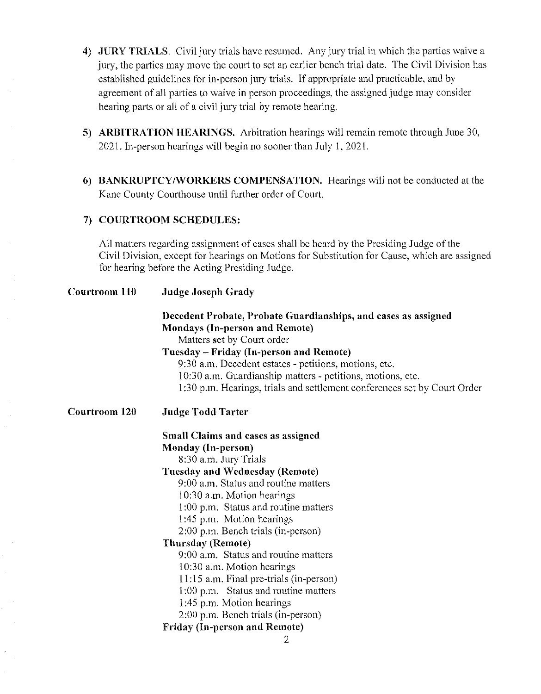- **4) ,JURY TRIALS.** Civil jury trials have resumed. Any jury trial in which the parties waive a jury, the parties may move the court to set an earlier bench trial date. The Civil Division has established guidelines for in-person jury trials. If appropriate and practicable, and by agreement of all parties to waive in person proceedings, the assigned judge may consider hearing parts or all of a civil jury trial by remote hearing.
- **5) ARBITRATION HEARINGS.** Arbitration hearings will remain remote through June 30, 2021. In-person hearings will begin no sooner than July I, 2021.
- **6) BANKRUPTCY/WORKERS COMPENSATION.** Hearings will not be conducted at the Kane County Courthouse until further order of Court.

## **7) COURTROOM SCHEDULES:**

All matters regarding assignment of cases shall be heard by the Presiding Judge of the Civil Division, except for hearings on Motions for Substitution for Cause, which are assigned for hearing before the Acting Presiding Judge.

| Courtroom 110 | <b>Judge Joseph Grady</b>                                                                                                             |
|---------------|---------------------------------------------------------------------------------------------------------------------------------------|
|               | Decedent Probate, Probate Guardianships, and cases as assigned<br><b>Mondays (In-person and Remote)</b><br>Matters set by Court order |
|               | Tuesday – Friday (In-person and Remote)                                                                                               |
|               | 9:30 a.m. Decedent estates - petitions, motions, etc.                                                                                 |
|               | 10:30 a.m. Guardianship matters - petitions, motions, etc.                                                                            |
|               | 1:30 p.m. Hearings, trials and settlement conferences set by Court Order                                                              |
| Courtroom 120 | <b>Judge Todd Tarter</b>                                                                                                              |
|               | <b>Small Claims and cases as assigned</b>                                                                                             |
|               | <b>Monday (In-person)</b>                                                                                                             |
|               | 8:30 a.m. Jury Trials                                                                                                                 |
|               | <b>Tuesday and Wednesday (Remote)</b>                                                                                                 |
|               | 9:00 a.m. Status and routine matters                                                                                                  |
|               | 10:30 a.m. Motion hearings                                                                                                            |
|               | 1:00 p.m. Status and routine matters                                                                                                  |
|               | 1:45 p.m. Motion hearings                                                                                                             |
|               | 2:00 p.m. Bench trials (in-person)                                                                                                    |
|               | <b>Thursday (Remote)</b>                                                                                                              |
|               | 9:00 a.m. Status and routine matters                                                                                                  |
|               | 10:30 a.m. Motion hearings                                                                                                            |
|               | 11:15 a.m. Final pre-trials (in-person)                                                                                               |
|               | 1:00 p.m. Status and routine matters                                                                                                  |
|               | 1:45 p.m. Motion hearings                                                                                                             |
|               | 2:00 p.m. Bench trials (in-person)                                                                                                    |
|               | <b>Friday (In-person and Remote)</b>                                                                                                  |
|               | 2                                                                                                                                     |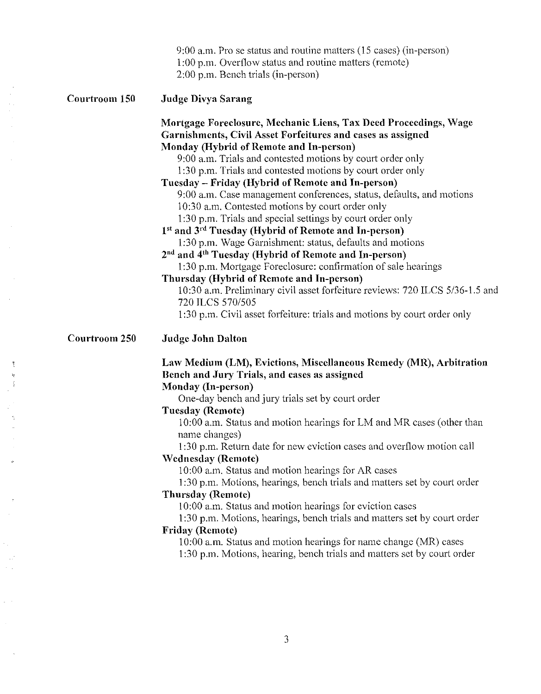|               | 9:00 a.m. Pro se status and routine matters (15 cases) (in-person)<br>1:00 p.m. Overflow status and routine matters (remote)<br>2:00 p.m. Bench trials (in-person)                                                                                                                                                                                                                                                                                                                                                                                                                                                                                                                                                                                                                                                                                                                                                                                                                                                                                                             |
|---------------|--------------------------------------------------------------------------------------------------------------------------------------------------------------------------------------------------------------------------------------------------------------------------------------------------------------------------------------------------------------------------------------------------------------------------------------------------------------------------------------------------------------------------------------------------------------------------------------------------------------------------------------------------------------------------------------------------------------------------------------------------------------------------------------------------------------------------------------------------------------------------------------------------------------------------------------------------------------------------------------------------------------------------------------------------------------------------------|
| Courtroom 150 | Judge Divya Sarang                                                                                                                                                                                                                                                                                                                                                                                                                                                                                                                                                                                                                                                                                                                                                                                                                                                                                                                                                                                                                                                             |
|               | Mortgage Foreclosure, Mechanic Liens, Tax Deed Proceedings, Wage<br>Garnishments, Civil Asset Forfeitures and cases as assigned<br>Monday (Hybrid of Remote and In-person)<br>9:00 a.m. Trials and contested motions by court order only<br>1:30 p.m. Trials and contested motions by court order only<br>Tuesday – Friday (Hybrid of Remote and In-person)<br>9:00 a.m. Case management conferences, status, defaults, and motions<br>10:30 a.m. Contested motions by court order only<br>1:30 p.m. Trials and special settings by court order only<br>1 <sup>st</sup> and 3 <sup>rd</sup> Tuesday (Hybrid of Remote and In-person)<br>1:30 p.m. Wage Garnishment: status, defaults and motions<br>2 <sup>nd</sup> and 4 <sup>th</sup> Tuesday (Hybrid of Remote and In-person)<br>1:30 p.m. Mortgage Foreclosure: confirmation of sale hearings<br>Thursday (Hybrid of Remote and In-person)<br>10:30 a.m. Preliminary civil asset forfeiture reviews: 720 ILCS 5/36-1.5 and<br>720 ILCS 570/505<br>1:30 p.m. Civil asset forfeiture: trials and motions by court order only |
| Courtroom 250 | <b>Judge John Dalton</b>                                                                                                                                                                                                                                                                                                                                                                                                                                                                                                                                                                                                                                                                                                                                                                                                                                                                                                                                                                                                                                                       |
|               | Law Medium (LM), Evictions, Miscellaneous Remedy (MR), Arbitration<br>Bench and Jury Trials, and cases as assigned<br>Monday (In-person)<br>One-day bench and jury trials set by court order<br><b>Tuesday (Remote)</b><br>10:00 a.m. Status and motion hearings for LM and MR cases (other than<br>name changes)<br>1:30 p.m. Return date for new eviction cases and overflow motion call<br><b>Wednesday (Remote)</b><br>10:00 a.m. Status and motion hearings for AR cases<br>1:30 p.m. Motions, hearings, bench trials and matters set by court order<br><b>Thursday (Remote)</b><br>10:00 a.m. Status and motion hearings for eviction cases<br>1:30 p.m. Motions, hearings, bench trials and matters set by court order<br><b>Friday (Remote)</b><br>10:00 a.m. Status and motion hearings for name change (MR) cases<br>1:30 p.m. Motions, hearing, bench trials and matters set by court order                                                                                                                                                                         |

Ĵ

3